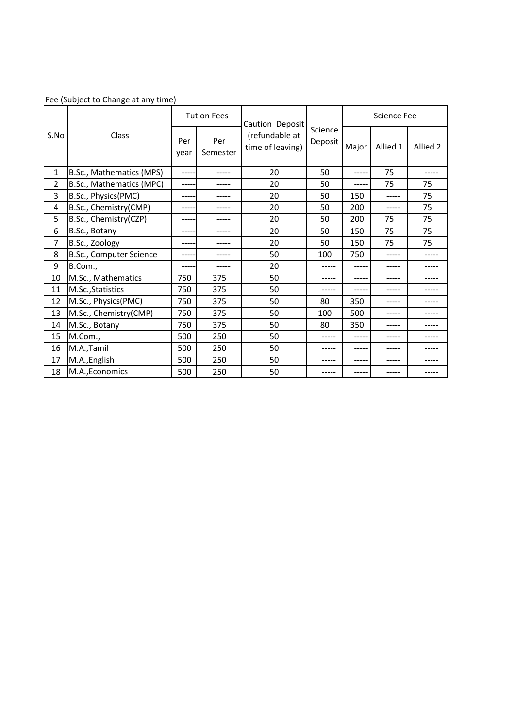| S.No         | Class                    | <b>Tution Fees</b> |                 | Caution Deposit                    |                    | <b>Science Fee</b> |          |          |
|--------------|--------------------------|--------------------|-----------------|------------------------------------|--------------------|--------------------|----------|----------|
|              |                          | Per<br>year        | Per<br>Semester | (refundable at<br>time of leaving) | Science<br>Deposit | Major              | Allied 1 | Allied 2 |
| $\mathbf{1}$ | B.Sc., Mathematics (MPS) |                    |                 | 20                                 | 50                 | ----               | 75       |          |
| 2            | B.Sc., Mathematics (MPC) |                    |                 | 20                                 | 50                 |                    | 75       | 75       |
| 3            | B.Sc., Physics(PMC)      | ----               | -----           | 20                                 | 50                 | 150                | -----    | 75       |
| 4            | B.Sc., Chemistry(CMP)    | ----               |                 | 20                                 | 50                 | 200                | -----    | 75       |
| 5            | B.Sc., Chemistry(CZP)    |                    |                 | 20                                 | 50                 | 200                | 75       | 75       |
| 6            | B.Sc., Botany            | ----               | -----           | 20                                 | 50                 | 150                | 75       | 75       |
| 7            | B.Sc., Zoology           |                    |                 | 20                                 | 50                 | 150                | 75       | 75       |
| 8            | B.Sc., Computer Science  | ----               | -----           | 50                                 | 100                | 750                | -----    | -----    |
| 9            | B.Com.,                  | ----               |                 | 20                                 |                    |                    | -----    |          |
| 10           | M.Sc., Mathematics       | 750                | 375             | 50                                 |                    |                    |          |          |
| 11           | M.Sc., Statistics        | 750                | 375             | 50                                 | -----              |                    |          |          |
| 12           | M.Sc., Physics(PMC)      | 750                | 375             | 50                                 | 80                 | 350                | -----    | ----     |
| 13           | M.Sc., Chemistry(CMP)    | 750                | 375             | 50                                 | 100                | 500                | -----    | ----     |
| 14           | M.Sc., Botany            | 750                | 375             | 50                                 | 80                 | 350                | -----    |          |
| 15           | M.Com.,                  | 500                | 250             | 50                                 | -----              |                    | -----    |          |
| 16           | M.A.,Tamil               | 500                | 250             | 50                                 | -----              |                    | -----    |          |
| 17           | M.A., English            | 500                | 250             | 50                                 |                    |                    |          |          |
| 18           | M.A., Economics          | 500                | 250             | 50                                 |                    |                    |          |          |

## Fee (Subject to Change at any time)